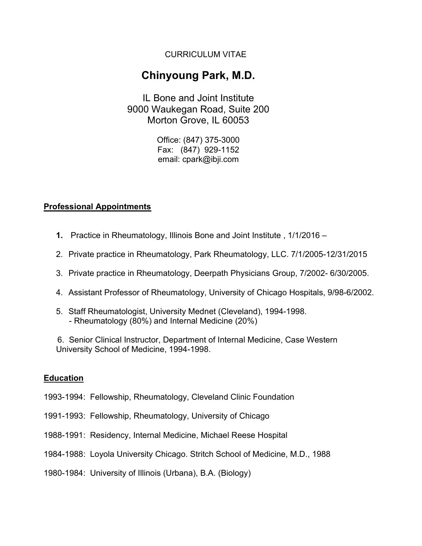# CURRICULUM VITAE

# Chinyoung Park, M.D.

IL Bone and Joint Institute 9000 Waukegan Road, Suite 200 Morton Grove, IL 60053

> Office: (847) 375-3000 Fax: (847) 929-1152 email: cpark@ibji.com

# Professional Appointments

- 1. Practice in Rheumatology, Illinois Bone and Joint Institute , 1/1/2016 –
- 2. Private practice in Rheumatology, Park Rheumatology, LLC. 7/1/2005-12/31/2015
- 3. Private practice in Rheumatology, Deerpath Physicians Group, 7/2002- 6/30/2005.
- 4. Assistant Professor of Rheumatology, University of Chicago Hospitals, 9/98-6/2002.
- 5. Staff Rheumatologist, University Mednet (Cleveland), 1994-1998. - Rheumatology (80%) and Internal Medicine (20%)

 6. Senior Clinical Instructor, Department of Internal Medicine, Case Western University School of Medicine, 1994-1998.

#### Education

- 1993-1994: Fellowship, Rheumatology, Cleveland Clinic Foundation
- 1991-1993: Fellowship, Rheumatology, University of Chicago
- 1988-1991: Residency, Internal Medicine, Michael Reese Hospital
- 1984-1988: Loyola University Chicago. Stritch School of Medicine, M.D., 1988
- 1980-1984: University of Illinois (Urbana), B.A. (Biology)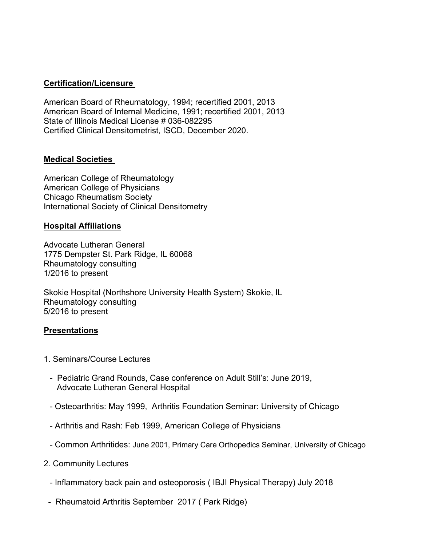# Certification/Licensure

American Board of Rheumatology, 1994; recertified 2001, 2013 American Board of Internal Medicine, 1991; recertified 2001, 2013 State of Illinois Medical License # 036-082295 Certified Clinical Densitometrist, ISCD, December 2020.

# Medical Societies

American College of Rheumatology American College of Physicians Chicago Rheumatism Society International Society of Clinical Densitometry

#### Hospital Affiliations

Advocate Lutheran General 1775 Dempster St. Park Ridge, IL 60068 Rheumatology consulting 1/2016 to present

Skokie Hospital (Northshore University Health System) Skokie, IL Rheumatology consulting 5/2016 to present

#### Presentations

- 1. Seminars/Course Lectures
	- Pediatric Grand Rounds, Case conference on Adult Still's: June 2019, Advocate Lutheran General Hospital
	- Osteoarthritis: May 1999, Arthritis Foundation Seminar: University of Chicago
	- Arthritis and Rash: Feb 1999, American College of Physicians
	- Common Arthritides: June 2001, Primary Care Orthopedics Seminar, University of Chicago
- 2. Community Lectures
	- Inflammatory back pain and osteoporosis ( IBJI Physical Therapy) July 2018
- Rheumatoid Arthritis September 2017 ( Park Ridge)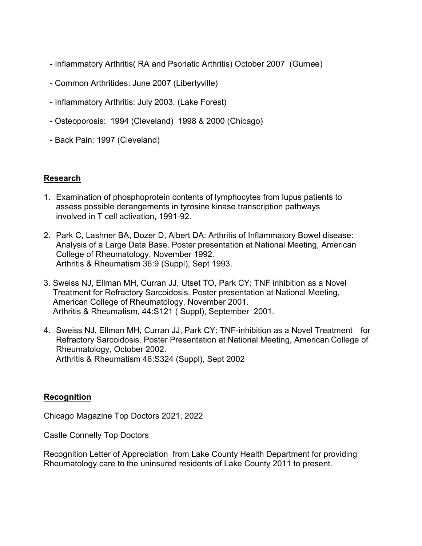- Inflammatory Arthritis( RA and Psoriatic Arthritis) October 2007 (Gurnee)
- Common Arthritides: June 2007 (Libertyville)
- Inflammatory Arthritis: July 2003, (Lake Forest)
- Osteoporosis: 1994 (Cleveland) 1998 & 2000 (Chicago)
- Back Pain: 1997 (Cleveland)

# Research

- 1. Examination of phosphoprotein contents of lymphocytes from lupus patients to assess possible derangements in tyrosine kinase transcription pathways involved in T cell activation, 1991-92.
- 2. Park C, Lashner BA, Dozer D, Albert DA: Arthritis of Inflammatory Bowel disease: Analysis of a Large Data Base. Poster presentation at National Meeting, American College of Rheumatology, November 1992. Arthritis & Rheumatism 36:9 (Suppl), Sept 1993.
- 3. Sweiss NJ, Ellman MH, Curran JJ, Utset TO, Park CY: TNF inhibition as a Novel Treatment for Refractory Sarcoidosis. Poster presentation at National Meeting, American College of Rheumatology, November 2001. Arthritis & Rheumatism, 44:S121 ( Suppl), September 2001.
- 4. Sweiss NJ, Ellman MH, Curran JJ, Park CY: TNF-inhibition as a Novel Treatment for Refractory Sarcoidosis. Poster Presentation at National Meeting, American College of Rheumatology, October 2002. Arthritis & Rheumatism 46:S324 (Suppl), Sept 2002

#### Recognition

Chicago Magazine Top Doctors 2021, 2022

Castle Connelly Top Doctors

Recognition Letter of Appreciation from Lake County Health Department for providing Rheumatology care to the uninsured residents of Lake County 2011 to present.